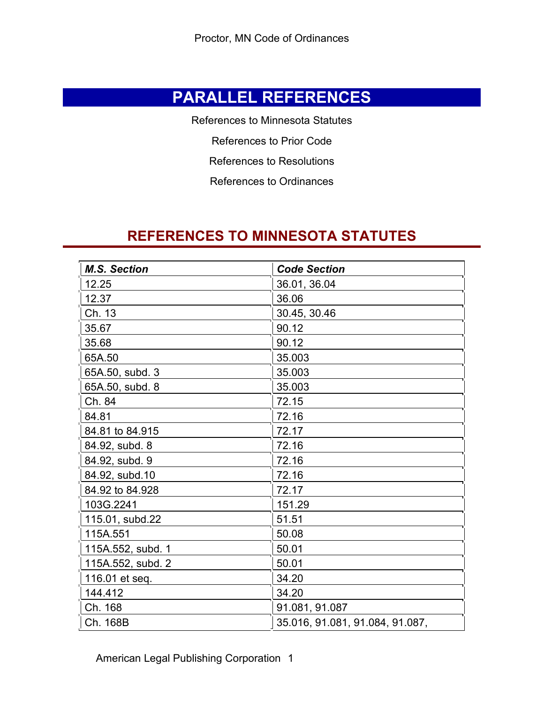## **PARALLEL REFERENCES**

References to Minnesota Statutes

References to Prior Code

References to Resolutions

References to Ordinances

### **REFERENCES TO MINNESOTA STATUTES**

| <b>M.S. Section</b> | <b>Code Section</b>             |
|---------------------|---------------------------------|
| 12.25               | 36.01, 36.04                    |
| 12.37               | 36.06                           |
| Ch. 13              | 30.45, 30.46                    |
| 35.67               | 90.12                           |
| 35.68               | 90.12                           |
| 65A.50              | 35.003                          |
| 65A.50, subd. 3     | 35.003                          |
| 65A.50, subd. 8     | 35.003                          |
| Ch. 84              | 72.15                           |
| 84.81               | 72.16                           |
| 84.81 to 84.915     | 72.17                           |
| 84.92, subd. 8      | 72.16                           |
| 84.92, subd. 9      | 72.16                           |
| 84.92, subd.10      | 72.16                           |
| 84.92 to 84.928     | 72.17                           |
| 103G.2241           | 151.29                          |
| 115.01, subd.22     | 51.51                           |
| 115A.551            | 50.08                           |
| 115A.552, subd. 1   | 50.01                           |
| 115A.552, subd. 2   | 50.01                           |
| 116.01 et seq.      | 34.20                           |
| 144.412             | 34.20                           |
| Ch. 168             | 91.081, 91.087                  |
| Ch. 168B            | 35.016, 91.081, 91.084, 91.087, |

American Legal Publishing Corporation 1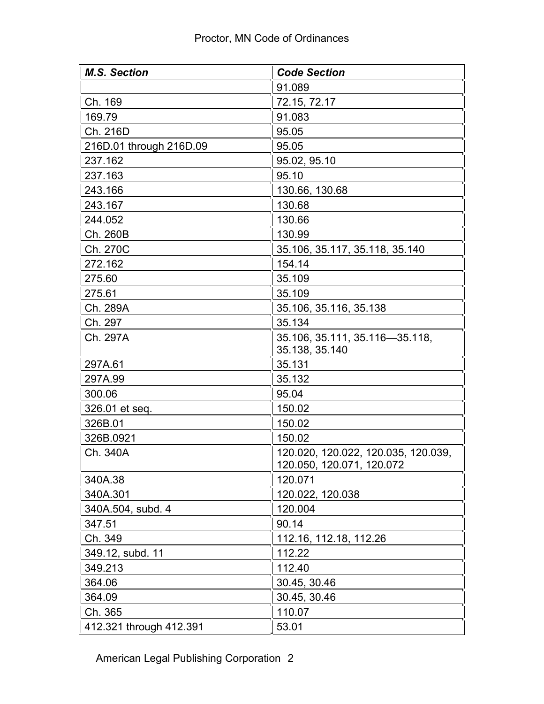| <b>M.S. Section</b>     | <b>Code Section</b>                                              |
|-------------------------|------------------------------------------------------------------|
|                         | 91.089                                                           |
| Ch. 169                 | 72.15, 72.17                                                     |
| 169.79                  | 91.083                                                           |
| Ch. 216D                | 95.05                                                            |
| 216D.01 through 216D.09 | 95.05                                                            |
| 237.162                 | 95.02, 95.10                                                     |
| 237.163                 | 95.10                                                            |
| 243.166                 | 130.66, 130.68                                                   |
| 243.167                 | 130.68                                                           |
| 244.052                 | 130.66                                                           |
| Ch. 260B                | 130.99                                                           |
| Ch. 270C                | 35.106, 35.117, 35.118, 35.140                                   |
| 272.162                 | 154.14                                                           |
| 275.60                  | 35.109                                                           |
| 275.61                  | 35.109                                                           |
| Ch. 289A                | 35.106, 35.116, 35.138                                           |
| Ch. 297                 | 35.134                                                           |
| Ch. 297A                | 35.106, 35.111, 35.116-35.118,<br>35.138, 35.140                 |
| 297A.61                 | 35.131                                                           |
| 297A.99                 | 35.132                                                           |
| 300.06                  | 95.04                                                            |
| 326.01 et seq.          | 150.02                                                           |
| 326B.01                 | 150.02                                                           |
| 326B.0921               | 150.02                                                           |
| Ch. 340A                | 120.020, 120.022, 120.035, 120.039,<br>120.050, 120.071, 120.072 |
| 340A.38                 | 120.071                                                          |
| 340A.301                | 120.022, 120.038                                                 |
| 340A.504, subd. 4       | 120.004                                                          |
| 347.51                  | 90.14                                                            |
| Ch. 349                 | 112.16, 112.18, 112.26                                           |
| 349.12, subd. 11        | 112.22                                                           |
| 349.213                 | 112.40                                                           |
| 364.06                  | 30.45, 30.46                                                     |
| 364.09                  | 30.45, 30.46                                                     |
| Ch. 365                 | 110.07                                                           |
| 412.321 through 412.391 | 53.01                                                            |

American Legal Publishing Corporation 2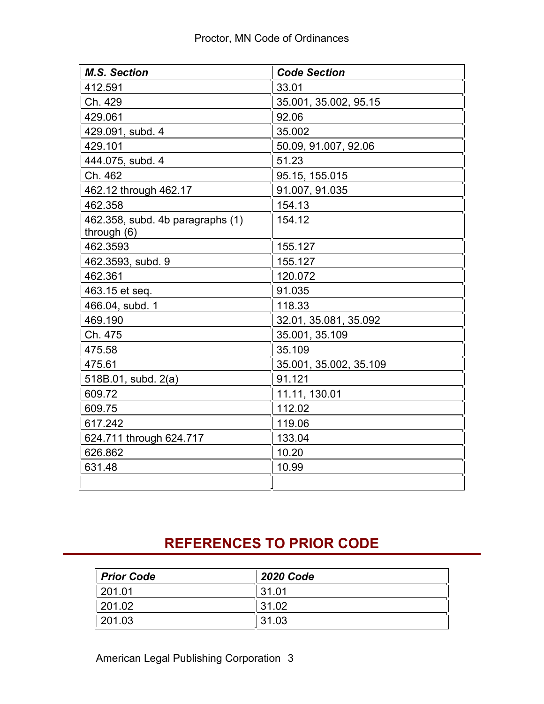| <b>M.S. Section</b>              | <b>Code Section</b>    |
|----------------------------------|------------------------|
| 412.591                          | 33.01                  |
| Ch. 429                          | 35.001, 35.002, 95.15  |
| 429.061                          | 92.06                  |
| 429.091, subd. 4                 | 35.002                 |
| 429.101                          | 50.09, 91.007, 92.06   |
| 444.075, subd. 4                 | 51.23                  |
| Ch. 462                          | 95.15, 155.015         |
| 462.12 through 462.17            | 91.007, 91.035         |
| 462.358                          | 154.13                 |
| 462.358, subd. 4b paragraphs (1) | 154.12                 |
| through $(6)$                    |                        |
| 462.3593                         | 155.127                |
| 462.3593, subd. 9                | 155.127                |
| 462.361                          | 120.072                |
| 463.15 et seq.                   | 91.035                 |
| 466.04, subd. 1                  | 118.33                 |
| 469.190                          | 32.01, 35.081, 35.092  |
| Ch. 475                          | 35.001, 35.109         |
| 475.58                           | 35.109                 |
| 475.61                           | 35.001, 35.002, 35.109 |
| 518B.01, subd. 2(a)              | 91.121                 |
| 609.72                           | 11.11, 130.01          |
| 609.75                           | 112.02                 |
| 617.242                          | 119.06                 |
| 624.711 through 624.717          | 133.04                 |
| 626.862                          | 10.20                  |
| 631.48                           | 10.99                  |
|                                  |                        |

# **REFERENCES TO PRIOR CODE**

| <b>Prior Code</b> | <b>2020 Code</b> |  |
|-------------------|------------------|--|
| 201.01            | 31.01            |  |
| 201.02            | 31.02            |  |
| 201.03            | 31.03            |  |

American Legal Publishing Corporation 3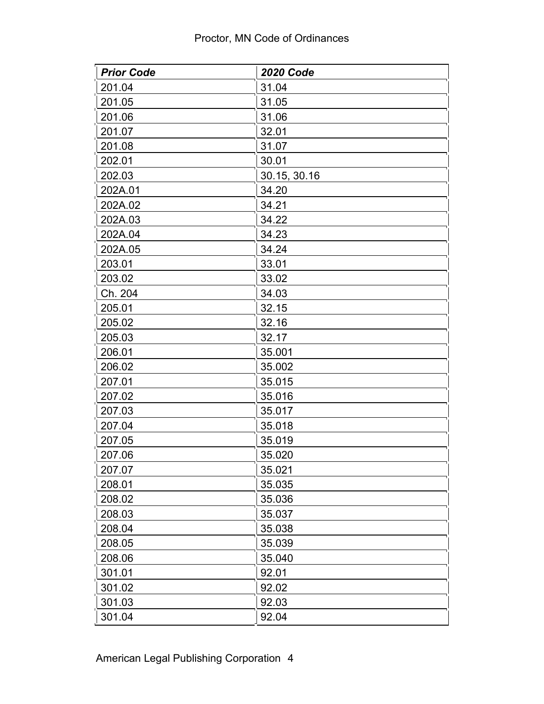| <b>Prior Code</b> | <b>2020 Code</b> |  |
|-------------------|------------------|--|
| 201.04            | 31.04            |  |
| 201.05            | 31.05            |  |
| 201.06            | 31.06            |  |
| 201.07            | 32.01            |  |
| 201.08            | 31.07            |  |
| 202.01            | 30.01            |  |
| 202.03            | 30.15, 30.16     |  |
| 202A.01           | 34.20            |  |
| 202A.02           | 34.21            |  |
| 202A.03           | 34.22            |  |
| 202A.04           | 34.23            |  |
| 202A.05           | 34.24            |  |
| 203.01            | 33.01            |  |
| 203.02            | 33.02            |  |
| Ch. 204           | 34.03            |  |
| 205.01            | 32.15            |  |
| 205.02            | 32.16            |  |
| 205.03            | 32.17            |  |
| 206.01            | 35.001           |  |
| 206.02            | 35.002           |  |
| 207.01            | 35.015           |  |
| 207.02            | 35.016           |  |
| 207.03            | 35.017           |  |
| 207.04            | 35.018           |  |
| 207.05            | 35.019           |  |
| 207.06            | 35.020           |  |
| 207.07            | 35.021           |  |
| 208.01            | 35.035           |  |
| 208.02            | 35.036           |  |
| 208.03            | 35.037           |  |
| 208.04            | 35.038           |  |
| 208.05            | 35.039           |  |
| 208.06            | 35.040           |  |
| 301.01            | 92.01            |  |
| 301.02            | 92.02            |  |
| 301.03            | 92.03            |  |
| 301.04            | 92.04            |  |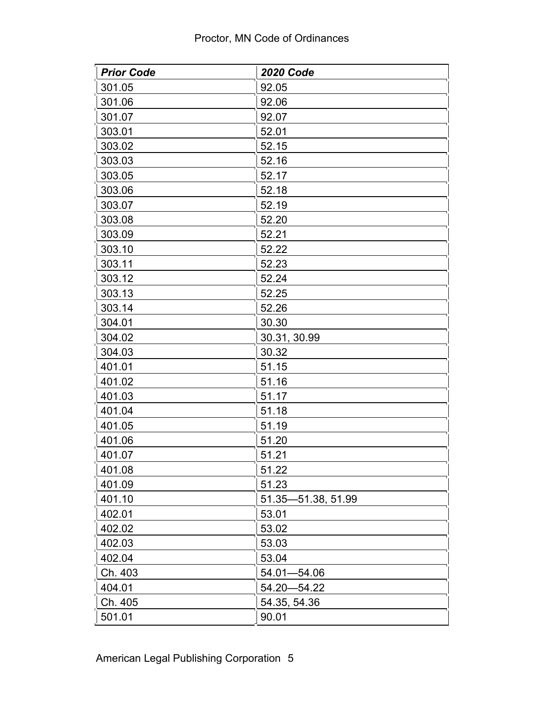| <b>Prior Code</b> | <b>2020 Code</b>   |
|-------------------|--------------------|
| 301.05            | 92.05              |
| 301.06            | 92.06              |
| 301.07            | 92.07              |
| 303.01            | 52.01              |
| 303.02            | 52.15              |
| 303.03            | 52.16              |
| 303.05            | 52.17              |
| 303.06            | 52.18              |
| 303.07            | 52.19              |
| 303.08            | 52.20              |
| 303.09            | 52.21              |
| 303.10            | 52.22              |
| 303.11            | 52.23              |
| 303.12            | 52.24              |
| 303.13            | 52.25              |
| 303.14            | 52.26              |
| 304.01            | 30.30              |
| 304.02            | 30.31, 30.99       |
| 304.03            | 30.32              |
| 401.01            | 51.15              |
| 401.02            | 51.16              |
| 401.03            | 51.17              |
| 401.04            | 51.18              |
| 401.05            | 51.19              |
| 401.06            | 51.20              |
| 401.07            | 51.21              |
| 401.08            | 51.22              |
| 401.09            | 51.23              |
| 401.10            | 51.35-51.38, 51.99 |
| 402.01            | 53.01              |
| 402.02            | 53.02              |
| 402.03            | 53.03              |
| 402.04            | 53.04              |
| Ch. 403           | 54.01-54.06        |
| 404.01            | 54.20 - 54.22      |
| Ch. 405           | 54.35, 54.36       |
| 501.01            | 90.01              |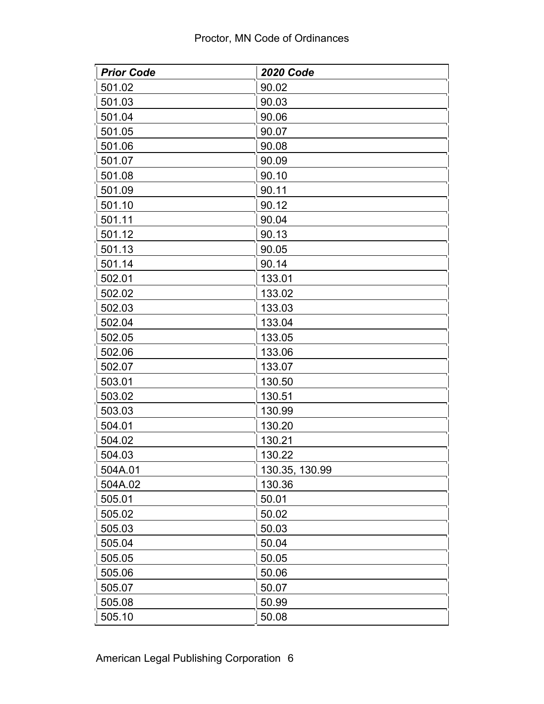| <b>Prior Code</b> | <b>2020 Code</b> |
|-------------------|------------------|
| 501.02            | 90.02            |
| 501.03            | 90.03            |
| 501.04            | 90.06            |
| 501.05            | 90.07            |
| 501.06            | 90.08            |
| 501.07            | 90.09            |
| 501.08            | 90.10            |
| 501.09            | 90.11            |
| 501.10            | 90.12            |
| 501.11            | 90.04            |
| 501.12            | 90.13            |
| 501.13            | 90.05            |
| 501.14            | 90.14            |
| 502.01            | 133.01           |
| 502.02            | 133.02           |
| 502.03            | 133.03           |
| 502.04            | 133.04           |
| 502.05            | 133.05           |
| 502.06            | 133.06           |
| 502.07            | 133.07           |
| 503.01            | 130.50           |
| 503.02            | 130.51           |
| 503.03            | 130.99           |
| 504.01            | 130.20           |
| 504.02            | 130.21           |
| 504.03            | 130.22           |
| 504A.01           | 130.35, 130.99   |
| 504A.02           | 130.36           |
| 505.01            | 50.01            |
| 505.02            | 50.02            |
| 505.03            | 50.03            |
| 505.04            | 50.04            |
| 505.05            | 50.05            |
| 505.06            | 50.06            |
| 505.07            | 50.07            |
| 505.08            | 50.99            |
| 505.10            | 50.08            |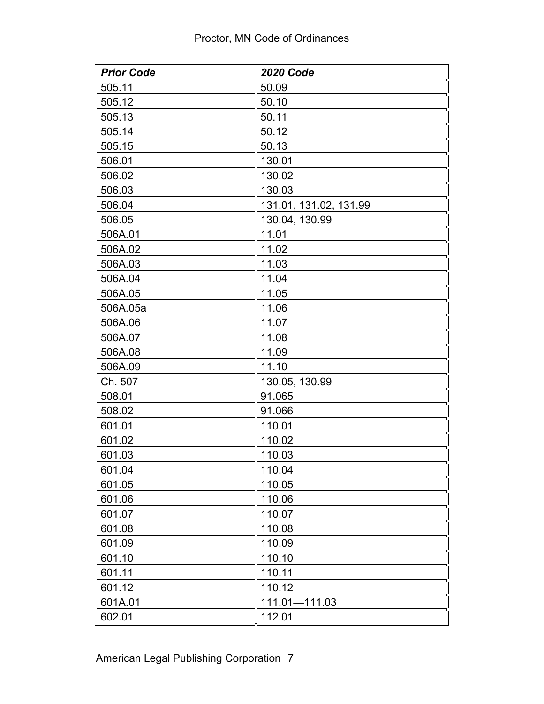| <b>Prior Code</b> | <b>2020 Code</b>       |
|-------------------|------------------------|
| 505.11            | 50.09                  |
| 505.12            | 50.10                  |
| 505.13            | 50.11                  |
| 505.14            | 50.12                  |
| 505.15            | 50.13                  |
| 506.01            | 130.01                 |
| 506.02            | 130.02                 |
| 506.03            | 130.03                 |
| 506.04            | 131.01, 131.02, 131.99 |
| 506.05            | 130.04, 130.99         |
| 506A.01           | 11.01                  |
| 506A.02           | 11.02                  |
| 506A.03           | 11.03                  |
| 506A.04           | 11.04                  |
| 506A.05           | 11.05                  |
| 506A.05a          | 11.06                  |
| 506A.06           | 11.07                  |
| 506A.07           | 11.08                  |
| 506A.08           | 11.09                  |
| 506A.09           | 11.10                  |
| Ch. 507           | 130.05, 130.99         |
| 508.01            | 91.065                 |
| 508.02            | 91.066                 |
| 601.01            | 110.01                 |
| 601.02            | 110.02                 |
| 601.03            | 110.03                 |
| 601.04            | 110.04                 |
| 601.05            | 110.05                 |
| 601.06            | 110.06                 |
| 601.07            | 110.07                 |
| 601.08            | 110.08                 |
| 601.09            | 110.09                 |
| 601.10            | 110.10                 |
| 601.11            | 110.11                 |
| 601.12            | 110.12                 |
| 601A.01           | 111.01-111.03          |
| 602.01            | 112.01                 |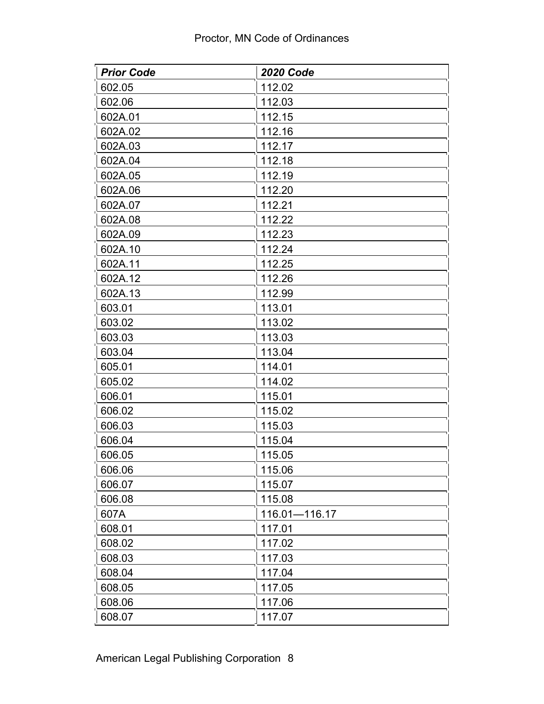| <b>Prior Code</b> | <b>2020 Code</b> |
|-------------------|------------------|
| 602.05            | 112.02           |
| 602.06            | 112.03           |
| 602A.01           | 112.15           |
| 602A.02           | 112.16           |
| 602A.03           | 112.17           |
| 602A.04           | 112.18           |
| 602A.05           | 112.19           |
| 602A.06           | 112.20           |
| 602A.07           | 112.21           |
| 602A.08           | 112.22           |
| 602A.09           | 112.23           |
| 602A.10           | 112.24           |
| 602A.11           | 112.25           |
| 602A.12           | 112.26           |
| 602A.13           | 112.99           |
| 603.01            | 113.01           |
| 603.02            | 113.02           |
| 603.03            | 113.03           |
| 603.04            | 113.04           |
| 605.01            | 114.01           |
| 605.02            | 114.02           |
| 606.01            | 115.01           |
| 606.02            | 115.02           |
| 606.03            | 115.03           |
| 606.04            | 115.04           |
| 606.05            | 115.05           |
| 606.06            | 115.06           |
| 606.07            | 115.07           |
| 606.08            | 115.08           |
| 607A              | 116.01-116.17    |
| 608.01            | 117.01           |
| 608.02            | 117.02           |
| 608.03            | 117.03           |
| 608.04            | 117.04           |
| 608.05            | 117.05           |
| 608.06            | 117.06           |
| 608.07            | 117.07           |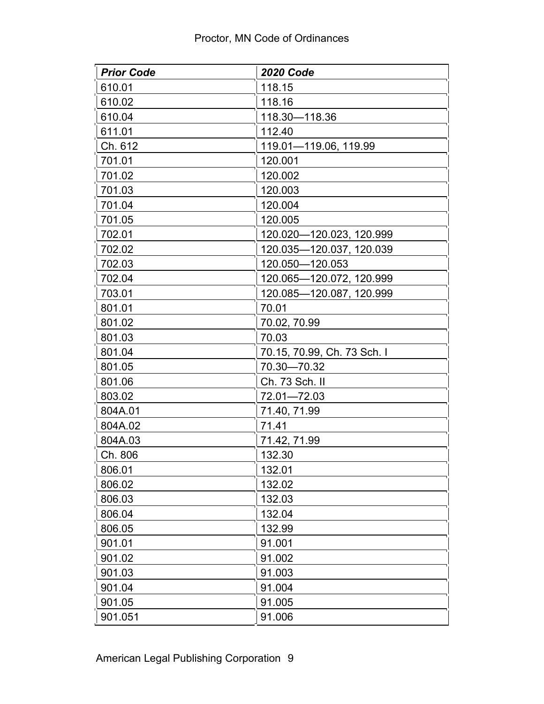| <b>Prior Code</b> | <b>2020 Code</b>            |
|-------------------|-----------------------------|
| 610.01            | 118.15                      |
| 610.02            | 118.16                      |
| 610.04            | 118.30-118.36               |
| 611.01            | 112.40                      |
| Ch. 612           | 119.01-119.06, 119.99       |
| 701.01            | 120.001                     |
| 701.02            | 120.002                     |
| 701.03            | 120.003                     |
| 701.04            | 120.004                     |
| 701.05            | 120.005                     |
| 702.01            | 120.020-120.023, 120.999    |
| 702.02            | 120.035-120.037, 120.039    |
| 702.03            | 120.050-120.053             |
| 702.04            | 120.065-120.072, 120.999    |
| 703.01            | 120.085-120.087, 120.999    |
| 801.01            | 70.01                       |
| 801.02            | 70.02, 70.99                |
| 801.03            | 70.03                       |
| 801.04            | 70.15, 70.99, Ch. 73 Sch. I |
| 801.05            | 70.30-70.32                 |
| 801.06            | Ch. 73 Sch. II              |
| 803.02            | 72.01-72.03                 |
| 804A.01           | 71.40, 71.99                |
| 804A.02           | 71.41                       |
| 804A.03           | 71.42, 71.99                |
| Ch. 806           | 132.30                      |
| 806.01            | 132.01                      |
| 806.02            | 132.02                      |
| 806.03            | 132.03                      |
| 806.04            | 132.04                      |
| 806.05            | 132.99                      |
| 901.01            | 91.001                      |
| 901.02            | 91.002                      |
| 901.03            | 91.003                      |
| 901.04            | 91.004                      |
| 901.05            | 91.005                      |
| 901.051           | 91.006                      |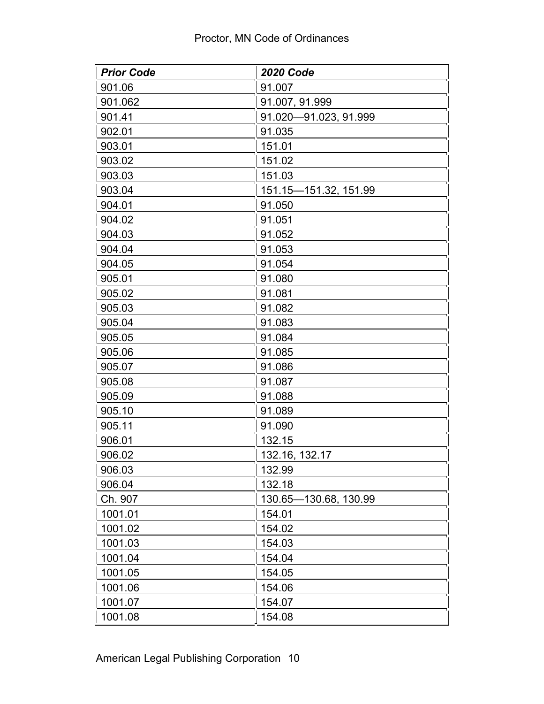| <b>Prior Code</b> | <b>2020 Code</b>      |
|-------------------|-----------------------|
| 901.06            | 91.007                |
| 901.062           | 91.007, 91.999        |
| 901.41            | 91.020-91.023, 91.999 |
| 902.01            | 91.035                |
| 903.01            | 151.01                |
| 903.02            | 151.02                |
| 903.03            | 151.03                |
| 903.04            | 151.15-151.32, 151.99 |
| 904.01            | 91.050                |
| 904.02            | 91.051                |
| 904.03            | 91.052                |
| 904.04            | 91.053                |
| 904.05            | 91.054                |
| 905.01            | 91.080                |
| 905.02            | 91.081                |
| 905.03            | 91.082                |
| 905.04            | 91.083                |
| 905.05            | 91.084                |
| 905.06            | 91.085                |
| 905.07            | 91.086                |
| 905.08            | 91.087                |
| 905.09            | 91.088                |
| 905.10            | 91.089                |
| 905.11            | 91.090                |
| 906.01            | 132.15                |
| 906.02            | 132.16, 132.17        |
| 906.03            | 132.99                |
| 906.04            | 132.18                |
| Ch. 907           | 130.65-130.68, 130.99 |
| 1001.01           | 154.01                |
| 1001.02           | 154.02                |
| 1001.03           | 154.03                |
| 1001.04           | 154.04                |
| 1001.05           | 154.05                |
| 1001.06           | 154.06                |
| 1001.07           | 154.07                |
| 1001.08           | 154.08                |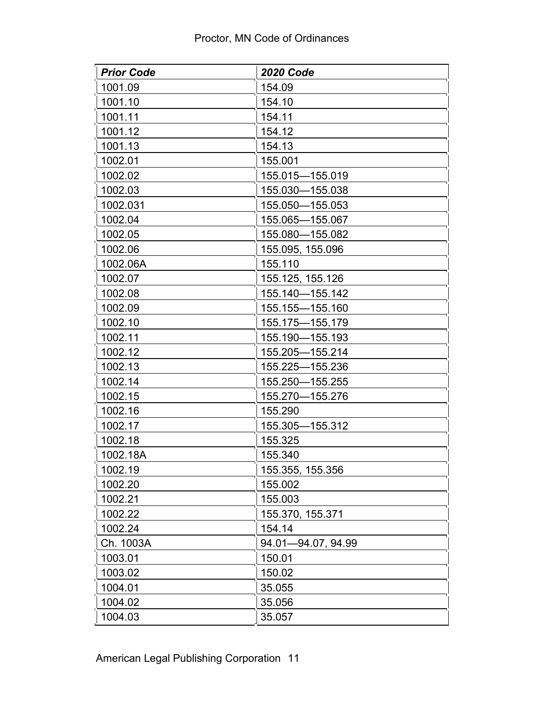| <b>Prior Code</b> | <b>2020 Code</b>   |
|-------------------|--------------------|
| 1001.09           | 154.09             |
| 1001.10           | 154.10             |
| 1001.11           | 154.11             |
| 1001.12           | 154.12             |
| 1001.13           | 154.13             |
| 1002.01           | 155.001            |
| 1002.02           | 155.015-155.019    |
| 1002.03           | 155.030-155.038    |
| 1002.031          | 155.050-155.053    |
| 1002.04           | 155.065-155.067    |
| 1002.05           | 155.080-155.082    |
| 1002.06           | 155.095, 155.096   |
| 1002.06A          | 155.110            |
| 1002.07           | 155.125, 155.126   |
| 1002.08           | 155.140-155.142    |
| 1002.09           | 155.155-155.160    |
| 1002.10           | 155.175-155.179    |
| 1002.11           | 155.190-155.193    |
| 1002.12           | 155.205-155.214    |
| 1002.13           | 155.225-155.236    |
| 1002.14           | 155.250-155.255    |
| 1002.15           | 155.270-155.276    |
| 1002.16           | 155.290            |
| 1002.17           | 155.305-155.312    |
| 1002.18           | 155.325            |
| 1002.18A          | 155.340            |
| 1002.19           | 155.355, 155.356   |
| 1002.20           | 155.002            |
| 1002.21           | 155.003            |
| 1002.22           | 155.370, 155.371   |
| 1002.24           | 154.14             |
| Ch. 1003A         | 94.01-94.07, 94.99 |
| 1003.01           | 150.01             |
| 1003.02           | 150.02             |
| 1004.01           | 35.055             |
| 1004.02           | 35.056             |
| 1004.03           | 35.057             |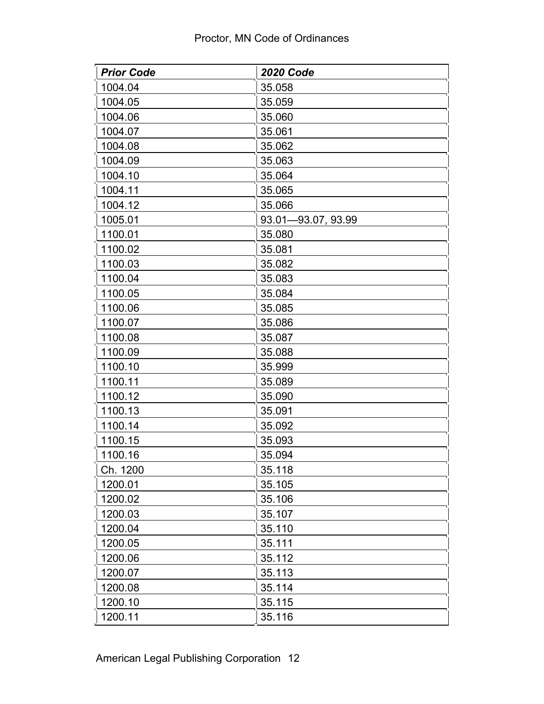| <b>Prior Code</b> | <b>2020 Code</b>   |
|-------------------|--------------------|
| 1004.04           | 35.058             |
| 1004.05           | 35.059             |
| 1004.06           | 35.060             |
| 1004.07           | 35.061             |
| 1004.08           | 35.062             |
| 1004.09           | 35.063             |
| 1004.10           | 35.064             |
| 1004.11           | 35.065             |
| 1004.12           | 35.066             |
| 1005.01           | 93.01-93.07, 93.99 |
| 1100.01           | 35.080             |
| 1100.02           | 35.081             |
| 1100.03           | 35.082             |
| 1100.04           | 35.083             |
| 1100.05           | 35.084             |
| 1100.06           | 35.085             |
| 1100.07           | 35.086             |
| 1100.08           | 35.087             |
| 1100.09           | 35.088             |
| 1100.10           | 35.999             |
| 1100.11           | 35.089             |
| 1100.12           | 35.090             |
| 1100.13           | 35.091             |
| 1100.14           | 35.092             |
| 1100.15           | 35.093             |
| 1100.16           | 35.094             |
| Ch. 1200          | 35.118             |
| 1200.01           | 35.105             |
| 1200.02           | 35.106             |
| 1200.03           | 35.107             |
| 1200.04           | 35.110             |
| 1200.05           | 35.111             |
| 1200.06           | 35.112             |
| 1200.07           | 35.113             |
| 1200.08           | 35.114             |
| 1200.10           | 35.115             |
| 1200.11           | 35.116             |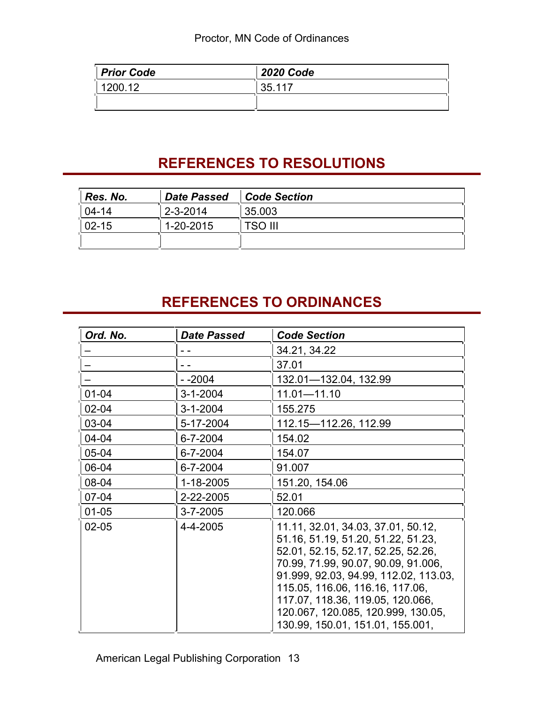| <b>Prior Code</b> | <b>2020 Code</b> |
|-------------------|------------------|
| 1200.12           | 135.117          |
|                   |                  |

## **REFERENCES TO RESOLUTIONS**

| Res. No.  | <b>Date Passed</b> | Code Section   |
|-----------|--------------------|----------------|
| $04 - 14$ | $2 - 3 - 2014$     | 35.003         |
| $02 - 15$ | 1-20-2015          | <b>TSO III</b> |
|           |                    |                |

## **REFERENCES TO ORDINANCES**

| Ord. No.  | <b>Date Passed</b> | <b>Code Section</b>                                                                                                                                                                                                                                                                                                                             |
|-----------|--------------------|-------------------------------------------------------------------------------------------------------------------------------------------------------------------------------------------------------------------------------------------------------------------------------------------------------------------------------------------------|
|           |                    | 34.21, 34.22                                                                                                                                                                                                                                                                                                                                    |
|           |                    | 37.01                                                                                                                                                                                                                                                                                                                                           |
|           | - -2004            | 132.01-132.04, 132.99                                                                                                                                                                                                                                                                                                                           |
| $01 - 04$ | $3 - 1 - 2004$     | $11.01 - 11.10$                                                                                                                                                                                                                                                                                                                                 |
| $02 - 04$ | $3 - 1 - 2004$     | 155.275                                                                                                                                                                                                                                                                                                                                         |
| 03-04     | 5-17-2004          | 112.15-112.26, 112.99                                                                                                                                                                                                                                                                                                                           |
| 04-04     | 6-7-2004           | 154.02                                                                                                                                                                                                                                                                                                                                          |
| 05-04     | 6-7-2004           | 154.07                                                                                                                                                                                                                                                                                                                                          |
| 06-04     | 6-7-2004           | 91.007                                                                                                                                                                                                                                                                                                                                          |
| 08-04     | 1-18-2005          | 151.20, 154.06                                                                                                                                                                                                                                                                                                                                  |
| $07 - 04$ | 2-22-2005          | 52.01                                                                                                                                                                                                                                                                                                                                           |
| $01 - 05$ | 3-7-2005           | 120.066                                                                                                                                                                                                                                                                                                                                         |
| $02 - 05$ | 4-4-2005           | 11.11, 32.01, 34.03, 37.01, 50.12,<br>51.16, 51.19, 51.20, 51.22, 51.23,<br>52.01, 52.15, 52.17, 52.25, 52.26,<br>70.99, 71.99, 90.07, 90.09, 91.006,<br>91.999, 92.03, 94.99, 112.02, 113.03,<br>115.05, 116.06, 116.16, 117.06,<br>117.07, 118.36, 119.05, 120.066,<br>120.067, 120.085, 120.999, 130.05,<br>130.99, 150.01, 151.01, 155.001, |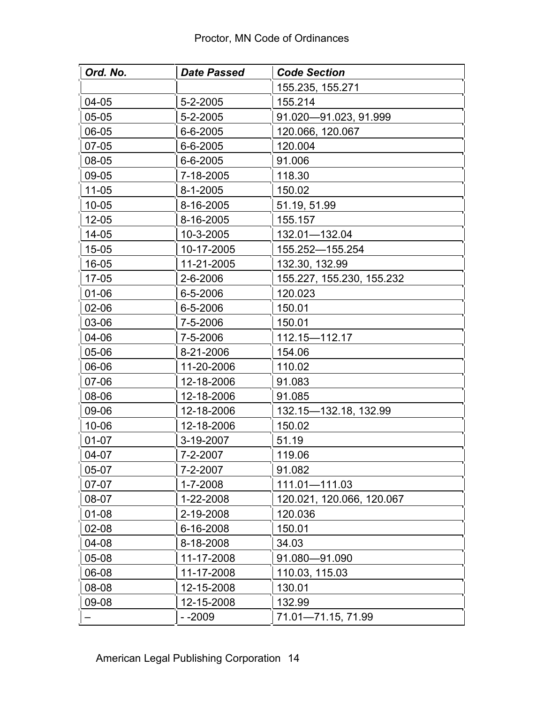| Ord. No.  | <b>Date Passed</b> | <b>Code Section</b>       |
|-----------|--------------------|---------------------------|
|           |                    | 155.235, 155.271          |
| 04-05     | 5-2-2005           | 155.214                   |
| 05-05     | 5-2-2005           | 91.020-91.023, 91.999     |
| 06-05     | 6-6-2005           | 120.066, 120.067          |
| 07-05     | 6-6-2005           | 120.004                   |
| 08-05     | 6-6-2005           | 91.006                    |
| 09-05     | 7-18-2005          | 118.30                    |
| $11 - 05$ | $8 - 1 - 2005$     | 150.02                    |
| $10 - 05$ | 8-16-2005          | 51.19, 51.99              |
| $12 - 05$ | 8-16-2005          | 155.157                   |
| 14-05     | 10-3-2005          | 132.01-132.04             |
| 15-05     | 10-17-2005         | 155.252-155.254           |
| 16-05     | 11-21-2005         | 132.30, 132.99            |
| 17-05     | 2-6-2006           | 155.227, 155.230, 155.232 |
| 01-06     | 6-5-2006           | 120.023                   |
| 02-06     | 6-5-2006           | 150.01                    |
| 03-06     | 7-5-2006           | 150.01                    |
| 04-06     | 7-5-2006           | 112.15-112.17             |
| 05-06     | 8-21-2006          | 154.06                    |
| 06-06     | 11-20-2006         | 110.02                    |
| 07-06     | 12-18-2006         | 91.083                    |
| 08-06     | 12-18-2006         | 91.085                    |
| 09-06     | 12-18-2006         | 132.15 - 132.18, 132.99   |
| $10 - 06$ | 12-18-2006         | 150.02                    |
| $01 - 07$ | 3-19-2007          | 51.19                     |
| 04-07     | 7-2-2007           | 119.06                    |
| 05-07     | 7-2-2007           | 91.082                    |
| 07-07     | 1-7-2008           | 111.01-111.03             |
| 08-07     | 1-22-2008          | 120.021, 120.066, 120.067 |
| $01 - 08$ | 2-19-2008          | 120.036                   |
| 02-08     | 6-16-2008          | 150.01                    |
| 04-08     | 8-18-2008          | 34.03                     |
| 05-08     | 11-17-2008         | 91.080-91.090             |
| 06-08     | 11-17-2008         | 110.03, 115.03            |
| 08-08     | 12-15-2008         | 130.01                    |
| 09-08     | 12-15-2008         | 132.99                    |
|           | - -2009            | 71.01-71.15, 71.99        |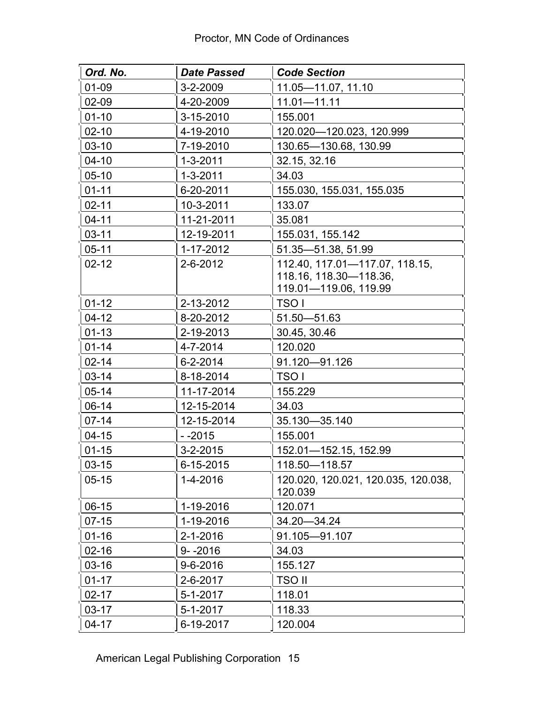| Ord. No.  | Date Passed    | <b>Code Section</b>                            |
|-----------|----------------|------------------------------------------------|
| 01-09     | $3 - 2 - 2009$ | 11.05-11.07, 11.10                             |
| 02-09     | 4-20-2009      | $11.01 - 11.11$                                |
| $01 - 10$ | 3-15-2010      | 155.001                                        |
| $02 - 10$ | 4-19-2010      | 120.020-120.023, 120.999                       |
| $03-10$   | 7-19-2010      | 130.65-130.68, 130.99                          |
| $04-10$   | $1 - 3 - 2011$ | 32.15, 32.16                                   |
| $05-10$   | $1 - 3 - 2011$ | 34.03                                          |
| $01 - 11$ | 6-20-2011      | 155.030, 155.031, 155.035                      |
| $02 - 11$ | 10-3-2011      | 133.07                                         |
| $04 - 11$ | 11-21-2011     | 35.081                                         |
| $03 - 11$ | 12-19-2011     | 155.031, 155.142                               |
| $05 - 11$ | 1-17-2012      | 51.35-51.38, 51.99                             |
| $02 - 12$ | 2-6-2012       | 112.40, 117.01-117.07, 118.15,                 |
|           |                | 118.16, 118.30-118.36,                         |
|           |                | 119.01-119.06, 119.99                          |
| $01 - 12$ | 2-13-2012      | <b>TSO</b> I                                   |
| $04-12$   | 8-20-2012      | $51.50 - 51.63$                                |
| $01 - 13$ | 2-19-2013      | 30.45, 30.46                                   |
| $01 - 14$ | 4-7-2014       | 120.020                                        |
| $02 - 14$ | 6-2-2014       | 91.120-91.126                                  |
| $03 - 14$ | 8-18-2014      | TSO I                                          |
| $05 - 14$ | 11-17-2014     | 155.229                                        |
| $06-14$   | 12-15-2014     | 34.03                                          |
| $07 - 14$ | 12-15-2014     | 35.130-35.140                                  |
| $04-15$   | $-2015$        | 155.001                                        |
| $01 - 15$ | $3 - 2 - 2015$ | 152.01-152.15, 152.99                          |
| $03 - 15$ | 6-15-2015      | 118.50-118.57                                  |
| $05 - 15$ | 1-4-2016       | 120.020, 120.021, 120.035, 120.038,<br>120.039 |
| $06-15$   | 1-19-2016      | 120.071                                        |
| $07-15$   | 1-19-2016      | 34.20 - 34.24                                  |
| $01 - 16$ | 2-1-2016       | 91.105-91.107                                  |
| $02 - 16$ | $9 - -2016$    | 34.03                                          |
| $03 - 16$ | 9-6-2016       | 155.127                                        |
| $01 - 17$ | 2-6-2017       | TSO II                                         |
| $02 - 17$ | 5-1-2017       | 118.01                                         |
| $03-17$   | 5-1-2017       | 118.33                                         |
| $04 - 17$ | 6-19-2017      | 120.004                                        |